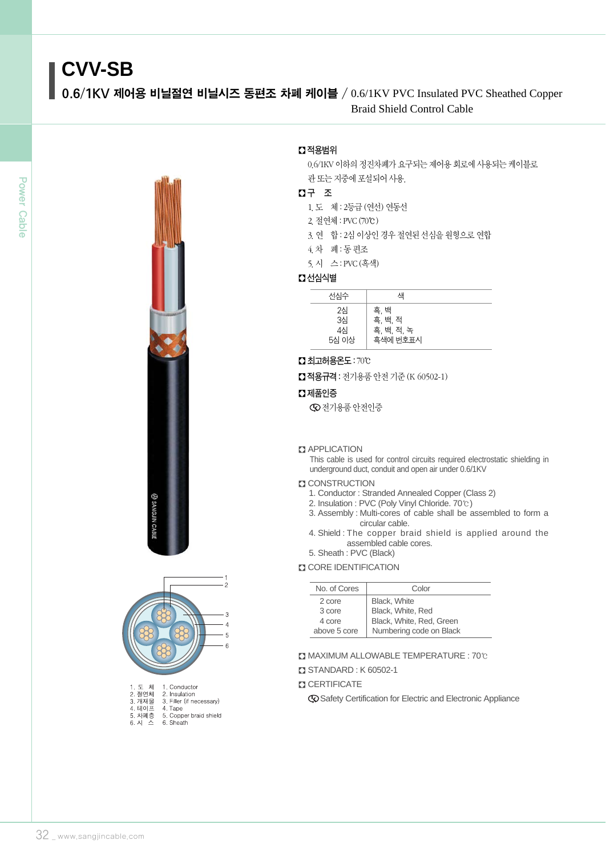# **CVV-SB**

0.6/1KV 제어용 비닐절연 비닐시즈 동편조 차폐 케이블 / 0.6/1KV PVC Insulated PVC Sheathed Copper Braid Shield Control Cable





| I.노 세     | т. Сопадатог             |
|-----------|--------------------------|
| 2. 절연체    | 2. Insulation            |
| 3. 개재물    | 3. Filler (if necessary) |
| 4. 테이프    | 4. Tape                  |
| 5. 차폐층    | 5. Copper braid shield   |
| 6. 시<br>⋏ | 6. Sheath                |
|           |                          |

# � 적용범위

0.6/1KV 이하의 정진차폐가 요구되는 제어용 회로에 사용되는 케이블로 관 또는 지중에 포설되어 사용.

# � 구 조

1.도 체 : 2등급 (연선) 연동선

- 2.절연체 : PVC(70℃)
- 3. 연 합 : 2심 이상인 경우 절연된 선심을 원형으로 연합
- 4.차 폐 : 동 편조
- 5.시 스 : PVC(흑색)

# � 선심식별

| 선심수                     | 색                                         |  |
|-------------------------|-------------------------------------------|--|
| 2심<br>3심<br>4심<br>5심 이상 | 흑, 백<br>흑, 백, 적<br>흑, 백, 적, 녹<br>흑색에 번호표시 |  |

� 최고허용온도: 70℃

■ 적용규격 : 전기용품 안전 기준 (K 60502-1)

# $\Omega$  제품인증

전기용품 안전인증

# **Z** APPLICATION

This cable is used for control circuits required electrostatic shielding in underground duct, conduit and open air under 0.6/1KV

#### **CONSTRUCTION**

- 1. Conductor : Stranded Annealed Copper (Class 2)
- 2. Insulation : PVC (Poly Vinyl Chloride. 70℃)
- 3. Assembly : Multi-cores of cable shall be assembled to form a circular cable.
- 4. Shield : The copper braid shield is applied around the assembled cable cores.
- 5. Sheath : PVC (Black)

# **CORE IDENTIFICATION**

| No. of Cores | Color                    |
|--------------|--------------------------|
| 2 core       | <b>Black. White</b>      |
| 3 core       | Black, White, Red        |
| 4 core       | Black, White, Red, Green |
| above 5 core | Numbering code on Black  |

� MAXIMUM ALLOWABLE TEMPERATURE : 70℃

#### � STANDARD : K 60502-1

#### **CERTIFICATE**

Safety Certification for Electric and Electronic Appliance